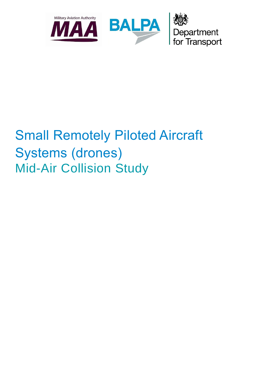

# Small Remotely Piloted Aircraft Systems (drones) Mid-Air Collision Study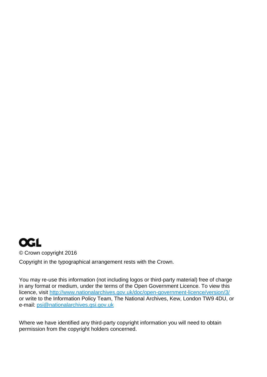### **OGL**

© Crown copyright 2016

Copyright in the typographical arrangement rests with the Crown.

You may re-use this information (not including logos or third-party material) free of charge in any format or medium, under the terms of the Open Government Licence. To view this licence, visit <http://www.nationalarchives.gov.uk/doc/open-government-licence/version/3/> or write to the Information Policy Team, The National Archives, Kew, London TW9 4DU, or e-mail: [psi@nationalarchives.gsi.gov.uk](mailto:psi@nationalarchives.gsi.gov.uk)

Where we have identified any third-party copyright information you will need to obtain permission from the copyright holders concerned.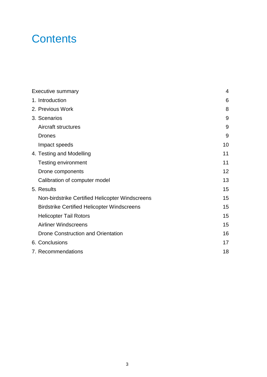### **Contents**

| <b>Executive summary</b>                           | 4  |
|----------------------------------------------------|----|
| 1. Introduction                                    | 6  |
| 2. Previous Work                                   | 8  |
| 3. Scenarios                                       | 9  |
| Aircraft structures                                | 9  |
| <b>Drones</b>                                      | 9  |
| Impact speeds                                      | 10 |
| 4. Testing and Modelling                           | 11 |
| <b>Testing environment</b>                         | 11 |
| Drone components                                   | 12 |
| Calibration of computer model                      | 13 |
| 5. Results                                         | 15 |
| Non-birdstrike Certified Helicopter Windscreens    | 15 |
| <b>Birdstrike Certified Helicopter Windscreens</b> | 15 |
| <b>Helicopter Tail Rotors</b>                      | 15 |
| <b>Airliner Windscreens</b>                        | 15 |
| <b>Drone Construction and Orientation</b>          | 16 |
| 6. Conclusions                                     | 17 |
| 7. Recommendations                                 | 18 |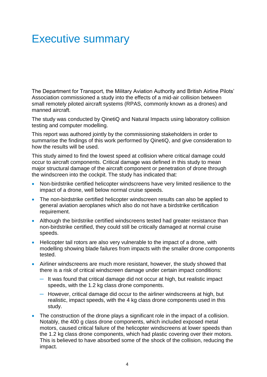### Executive summary

The Department for Transport, the Military Aviation Authority and British Airline Pilots' Association commissioned a study into the effects of a mid-air collision between small remotely piloted aircraft systems (RPAS, commonly known as a drones) and manned aircraft.

The study was conducted by QinetiQ and Natural Impacts using laboratory collision testing and computer modelling.

This report was authored jointly by the commissioning stakeholders in order to summarise the findings of this work performed by QinetiQ, and give consideration to how the results will be used.

This study aimed to find the lowest speed at collision where critical damage could occur to aircraft components. Critical damage was defined in this study to mean major structural damage of the aircraft component or penetration of drone through the windscreen into the cockpit. The study has indicated that:

- Non-birdstrike certified helicopter windscreens have very limited resilience to the impact of a drone, well below normal cruise speeds.
- The non-birdstrike certified helicopter windscreen results can also be applied to general aviation aeroplanes which also do not have a birdstrike certification requirement.
- Although the birdstrike certified windscreens tested had greater resistance than non-birdstrike certified, they could still be critically damaged at normal cruise speeds.
- Helicopter tail rotors are also very vulnerable to the impact of a drone, with modelling showing blade failures from impacts with the smaller drone components tested.
- Airliner windscreens are much more resistant, however, the study showed that there is a risk of critical windscreen damage under certain impact conditions:
	- ─ It was found that critical damage did not occur at high, but realistic impact speeds, with the 1.2 kg class drone components.
	- ─ However, critical damage did occur to the airliner windscreens at high, but realistic, impact speeds, with the 4 kg class drone components used in this study.
- The construction of the drone plays a significant role in the impact of a collision. Notably, the 400 g class drone components, which included exposed metal motors, caused critical failure of the helicopter windscreens at lower speeds than the 1.2 kg class drone components, which had plastic covering over their motors. This is believed to have absorbed some of the shock of the collision, reducing the impact.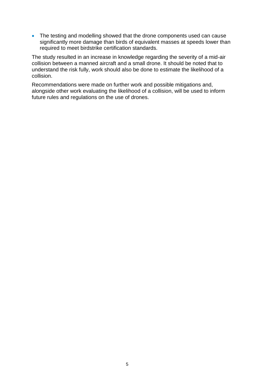• The testing and modelling showed that the drone components used can cause significantly more damage than birds of equivalent masses at speeds lower than required to meet birdstrike certification standards.

The study resulted in an increase in knowledge regarding the severity of a mid-air collision between a manned aircraft and a small drone. It should be noted that to understand the risk fully, work should also be done to estimate the likelihood of a collision.

Recommendations were made on further work and possible mitigations and, alongside other work evaluating the likelihood of a collision, will be used to inform future rules and regulations on the use of drones.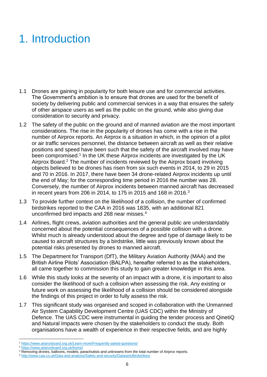# 1. Introduction

- 1.1 Drones are gaining in popularity for both leisure use and for commercial activities. The Government's ambition is to ensure that drones are used for the benefit of society by delivering public and commercial services in a way that ensures the safety of other airspace users as well as the public on the ground, while also giving due consideration to security and privacy.
- 1.2 The safety of the public on the ground and of manned aviation are the most important considerations. The rise in the popularity of drones has come with a rise in the number of Airprox reports. An Airprox is a situation in which, in the opinion of a pilot or air traffic services personnel, the distance between aircraft as well as their relative positions and speed have been such that the safety of the aircraft involved may have been compromised.<sup>1</sup> In the UK these Airprox incidents are investigated by the UK Airprox Board.<sup>2</sup> The number of incidents reviewed by the Airprox board involving objects believed to be drones has risen from six such events in 2014, to 29 in 2015 and 70 in 2016. In 2017, there have been 34 drone-related Airprox incidents up until the end of May; for the corresponding time period in 2016 the number was 28. Conversely, the number of Airprox incidents between manned aircraft has decreased in recent years from 206 in 2014, to 175 in 2015 and 168 in 2016.<sup>3</sup>
- 1.3 To provide further context on the likelihood of a collision, the number of confirmed birdstrikes reported to the CAA in 2016 was 1835, with an additional 821 unconfirmed bird impacts and 268 near misses.<sup>4</sup>
- 1.4 Airlines, flight crews, aviation authorities and the general public are understandably concerned about the potential consequences of a possible collision with a drone. Whilst much is already understood about the degree and type of damage likely to be caused to aircraft structures by a birdstrike, little was previously known about the potential risks presented by drones to manned aircraft.
- 1.5 The Department for Transport (DfT), the Military Aviation Authority (MAA) and the British Airline Pilots' Association (BALPA), hereafter referred to as the stakeholders, all came together to commission this study to gain greater knowledge in this area.
- 1.6 While this study looks at the severity of an impact with a drone, it is important to also consider the likelihood of such a collision when assessing the risk. Any existing or future work on assessing the likelihood of a collision should be considered alongside the findings of this project in order to fully assess the risk.
- 1.7 This significant study was organised and scoped in collaboration with the Unmanned Air System Capability Development Centre (UAS CDC) within the Ministry of Defence. The UAS CDC were instrumental in guiding the tender process and QinetiQ and Natural Impacts were chosen by the stakeholders to conduct the study. Both organisations have a wealth of experience in their respective fields, and are highly

 $\overline{a}$ <sup>1</sup> <https://www.airproxboard.org.uk/Learn-more/Frequently-asked-questions/>

<sup>2</sup> <https://www.airproxboard.org.uk/home/>

<sup>&</sup>lt;sup>3</sup> Removing drones, balloons, models, parachutists and unknowns from the total number of Airprox reports.

<sup>4</sup> <http://www.caa.co.uk/Data-and-analysis/Safety-and-security/Datasets/Birdstrikes/>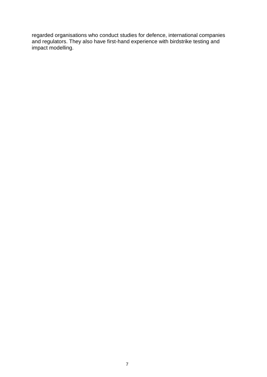regarded organisations who conduct studies for defence, international companies and regulators. They also have first-hand experience with birdstrike testing and impact modelling.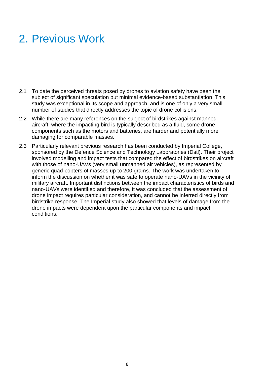### 2. Previous Work

- 2.1 To date the perceived threats posed by drones to aviation safety have been the subject of significant speculation but minimal evidence-based substantiation. This study was exceptional in its scope and approach, and is one of only a very small number of studies that directly addresses the topic of drone collisions.
- 2.2 While there are many references on the subject of birdstrikes against manned aircraft, where the impacting bird is typically described as a fluid, some drone components such as the motors and batteries, are harder and potentially more damaging for comparable masses.
- 2.3 Particularly relevant previous research has been conducted by Imperial College, sponsored by the Defence Science and Technology Laboratories (Dstl). Their project involved modelling and impact tests that compared the effect of birdstrikes on aircraft with those of nano-UAVs (very small unmanned air vehicles), as represented by generic quad-copters of masses up to 200 grams. The work was undertaken to inform the discussion on whether it was safe to operate nano-UAVs in the vicinity of military aircraft. Important distinctions between the impact characteristics of birds and nano-UAVs were identified and therefore, it was concluded that the assessment of drone impact requires particular consideration, and cannot be inferred directly from birdstrike response. The Imperial study also showed that levels of damage from the drone impacts were dependent upon the particular components and impact conditions.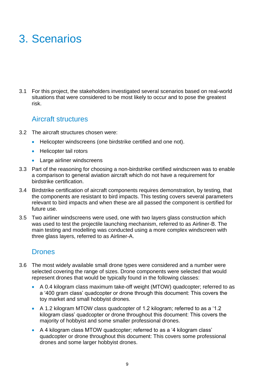# 3. Scenarios

3.1 For this project, the stakeholders investigated several scenarios based on real-world situations that were considered to be most likely to occur and to pose the greatest risk.

#### Aircraft structures

- 3.2 The aircraft structures chosen were:
	- Helicopter windscreens (one birdstrike certified and one not).
	- Helicopter tail rotors
	- Large airliner windscreens
- 3.3 Part of the reasoning for choosing a non-birdstrike certified windscreen was to enable a comparison to general aviation aircraft which do not have a requirement for birdstrike certification.
- 3.4 Birdstrike certification of aircraft components requires demonstration, by testing, that the components are resistant to bird impacts. This testing covers several parameters relevant to bird impacts and when these are all passed the component is certified for future use.
- 3.5 Two airliner windscreens were used, one with two layers glass construction which was used to test the projectile launching mechanism, referred to as Airliner-B. The main testing and modelling was conducted using a more complex windscreen with three glass layers, referred to as Airliner-A.

#### **Drones**

- 3.6 The most widely available small drone types were considered and a number were selected covering the range of sizes. Drone components were selected that would represent drones that would be typically found in the following classes:
	- A 0.4 kilogram class maximum take-off weight (MTOW) quadcopter; referred to as a '400 gram class' quadcopter or drone through this document: This covers the toy market and small hobbyist drones.
	- A 1.2 kilogram MTOW class quadcopter of 1.2 kilogram; referred to as a '1.2 kilogram class' quadcopter or drone throughout this document: This covers the majority of hobbyist and some smaller professional drones.
	- A 4 kilogram class MTOW quadcopter; referred to as a '4 kilogram class' quadcopter or drone throughout this document: This covers some professional drones and some larger hobbyist drones.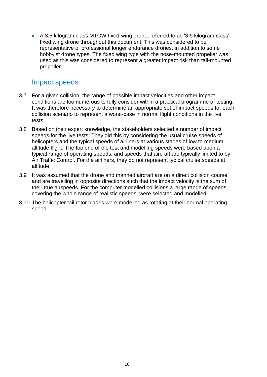A 3.5 kilogram class MTOW fixed-wing drone; referred to as '3.5 kilogram class' fixed wing drone throughout this document: This was considered to be representative of professional longer endurance drones, in addition to some hobbyist drone types. The fixed wing type with the nose-mounted propeller was used as this was considered to represent a greater impact risk than tail-mounted propeller.

#### Impact speeds

- 3.7 For a given collision, the range of possible impact velocities and other impact conditions are too numerous to fully consider within a practical programme of testing. It was therefore necessary to determine an appropriate set of impact speeds for each collision scenario to represent a worst-case in normal flight conditions in the live tests.
- 3.8 Based on their expert knowledge, the stakeholders selected a number of impact speeds for the live tests. They did this by considering the usual cruise speeds of helicopters and the typical speeds of airliners at various stages of low to medium altitude flight. The top end of the test and modelling speeds were based upon a typical range of operating speeds, and speeds that aircraft are typically limited to by Air Traffic Control. For the airliners, they do not represent typical cruise speeds at altitude.
- 3.9 It was assumed that the drone and manned aircraft are on a direct collision course, and are travelling in opposite directions such that the impact velocity is the sum of their true airspeeds. For the computer modelled collisions a large range of speeds, covering the whole range of realistic speeds, were selected and modelled.
- 3.10 The helicopter tail rotor blades were modelled as rotating at their normal operating speed.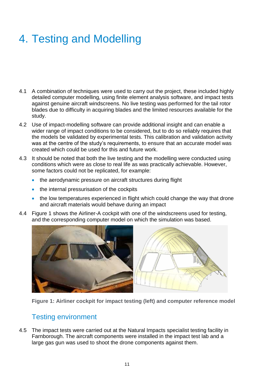# 4. Testing and Modelling

- 4.1 A combination of techniques were used to carry out the project, these included highly detailed computer modelling, using finite element analysis software, and impact tests against genuine aircraft windscreens. No live testing was performed for the tail rotor blades due to difficulty in acquiring blades and the limited resources available for the study.
- 4.2 Use of impact-modelling software can provide additional insight and can enable a wider range of impact conditions to be considered, but to do so reliably requires that the models be validated by experimental tests. This calibration and validation activity was at the centre of the study's requirements, to ensure that an accurate model was created which could be used for this and future work.
- 4.3 It should be noted that both the live testing and the modelling were conducted using conditions which were as close to real life as was practically achievable. However, some factors could not be replicated, for example:
	- the aerodynamic pressure on aircraft structures during flight
	- the internal pressurisation of the cockpits
	- the low temperatures experienced in flight which could change the way that drone and aircraft materials would behave during an impact
- 4.4 [Figure 1](#page-10-0) shows the Airliner-A cockpit with one of the windscreens used for testing, and the corresponding computer model on which the simulation was based.



<span id="page-10-0"></span>**Figure 1: Airliner cockpit for impact testing (left) and computer reference model** 

#### Testing environment

4.5 The impact tests were carried out at the Natural Impacts specialist testing facility in Farnborough. The aircraft components were installed in the impact test lab and a large gas gun was used to shoot the drone components against them.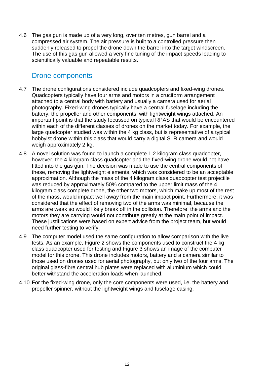4.6 The gas gun is made up of a very long, over ten metres, gun barrel and a compressed air system. The air pressure is built to a controlled pressure then suddenly released to propel the drone down the barrel into the target windscreen. The use of this gas gun allowed a very fine tuning of the impact speeds leading to scientifically valuable and repeatable results.

#### Drone components

- 4.7 The drone configurations considered include quadcopters and fixed-wing drones. Quadcopters typically have four arms and motors in a cruciform arrangement attached to a central body with battery and usually a camera used for aerial photography. Fixed-wing drones typically have a central fuselage including the battery, the propeller and other components, with lightweight wings attached. An important point is that the study focussed on typical RPAS that would be encountered within each of the different classes of drones on the market today. For example, the large quadcopter studied was within the 4 kg class, but is representative of a typical hobbyist drone within this class that would carry a digital SLR camera and would weigh approximately 2 kg.
- 4.8 A novel solution was found to launch a complete 1.2 kilogram class quadcopter, however, the 4 kilogram class quadcopter and the fixed-wing drone would not have fitted into the gas gun. The decision was made to use the central components of these, removing the lightweight elements, which was considered to be an acceptable approximation. Although the mass of the 4 kilogram class quadcopter test projectile was reduced by approximately 50% compared to the upper limit mass of the 4 kilogram class complete drone, the other two motors, which make up most of the rest of the mass, would impact well away from the main impact point. Furthermore, it was considered that the effect of removing two of the arms was minimal, because the arms are weak so would likely break off in the collision. Therefore, the arms and the motors they are carrying would not contribute greatly at the main point of impact. These justifications were based on expert advice from the project team, but would need further testing to verify.
- 4.9 The computer model used the same configuration to allow comparison with the live tests. As an example, [Figure 2](#page-12-0) shows the components used to construct the 4 kg class quadcopter used for testing and [Figure 3](#page-12-1) shows an image of the computer model for this drone. This drone includes motors, battery and a camera similar to those used on drones used for aerial photography, but only two of the four arms. The original glass-fibre central hub plates were replaced with aluminium which could better withstand the acceleration loads when launched.
- 4.10 For the fixed-wing drone, only the core components were used, i.e. the battery and propeller spinner, without the lightweight wings and fuselage casing.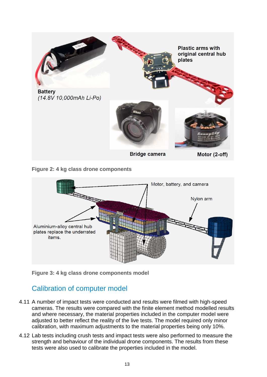

**Figure 2: 4 kg class drone components** 

<span id="page-12-0"></span>

<span id="page-12-1"></span>**Figure 3: 4 kg class drone components model**

#### Calibration of computer model

- 4.11 A number of impact tests were conducted and results were filmed with high-speed cameras. The results were compared with the finite element method modelled results and where necessary, the material properties included in the computer model were adjusted to better reflect the reality of the live tests. The model required only minor calibration, with maximum adjustments to the material properties being only 10%.
- 4.12 Lab tests including crush tests and impact tests were also performed to measure the strength and behaviour of the individual drone components. The results from these tests were also used to calibrate the properties included in the model.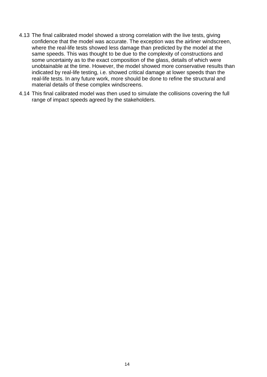- 4.13 The final calibrated model showed a strong correlation with the live tests, giving confidence that the model was accurate. The exception was the airliner windscreen, where the real-life tests showed less damage than predicted by the model at the same speeds. This was thought to be due to the complexity of constructions and some uncertainty as to the exact composition of the glass, details of which were unobtainable at the time. However, the model showed more conservative results than indicated by real-life testing, i.e. showed critical damage at lower speeds than the real-life tests. In any future work, more should be done to refine the structural and material details of these complex windscreens.
- 4.14 This final calibrated model was then used to simulate the collisions covering the full range of impact speeds agreed by the stakeholders.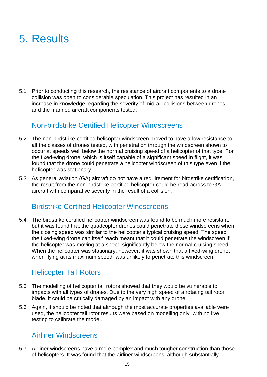### 5. Results

5.1 Prior to conducting this research, the resistance of aircraft components to a drone collision was open to considerable speculation. This project has resulted in an increase in knowledge regarding the severity of mid-air collisions between drones and the manned aircraft components tested.

#### Non-birdstrike Certified Helicopter Windscreens

- 5.2 The non-birdstrike certified helicopter windscreen proved to have a low resistance to all the classes of drones tested, with penetration through the windscreen shown to occur at speeds well below the normal cruising speed of a helicopter of that type. For the fixed-wing drone, which is itself capable of a significant speed in flight, it was found that the drone could penetrate a helicopter windscreen of this type even if the helicopter was stationary.
- 5.3 As general aviation (GA) aircraft do not have a requirement for birdstrike certification, the result from the non-birdstrike certified helicopter could be read across to GA aircraft with comparative severity in the result of a collision.

#### Birdstrike Certified Helicopter Windscreens

5.4 The birdstrike certified helicopter windscreen was found to be much more resistant, but it was found that the quadcopter drones could penetrate these windscreens when the closing speed was similar to the helicopter's typical cruising speed. The speed the fixed-wing drone can itself reach meant that it could penetrate the windscreen if the helicopter was moving at a speed significantly below the normal cruising speed. When the helicopter was stationary, however, it was shown that a fixed-wing drone, when flying at its maximum speed, was unlikely to penetrate this windscreen.

#### Helicopter Tail Rotors

- 5.5 The modelling of helicopter tail rotors showed that they would be vulnerable to impacts with all types of drones. Due to the very high speed of a rotating tail rotor blade, it could be critically damaged by an impact with any drone.
- 5.6 Again, it should be noted that although the most accurate properties available were used, the helicopter tail rotor results were based on modelling only, with no live testing to calibrate the model.

#### Airliner Windscreens

5.7 Airliner windscreens have a more complex and much tougher construction than those of helicopters. It was found that the airliner windscreens, although substantially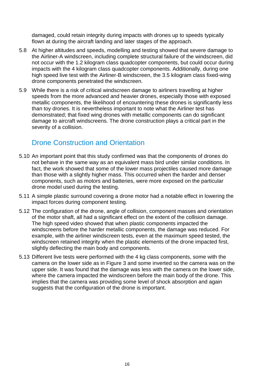damaged, could retain integrity during impacts with drones up to speeds typically flown at during the aircraft landing and later stages of the approach.

- 5.8 At higher altitudes and speeds, modelling and testing showed that severe damage to the Airliner-A windscreen, including complete structural failure of the windscreen, did not occur with the 1.2 kilogram class quadcopter components, but could occur during impacts with the 4 kilogram class quadcopter components. Additionally, during one high speed live test with the Airliner-B windscreen, the 3.5 kilogram class fixed-wing drone components penetrated the windscreen.
- 5.9 While there is a risk of critical windscreen damage to airliners travelling at higher speeds from the more advanced and heavier drones, especially those with exposed metallic components, the likelihood of encountering these drones is significantly less than toy drones. It is nevertheless important to note what the Airliner test has demonstrated; that fixed wing drones with metallic components can do significant damage to aircraft windscreens. The drone construction plays a critical part in the severity of a collision.

#### Drone Construction and Orientation

- 5.10 An important point that this study confirmed was that the components of drones do not behave in the same way as an equivalent mass bird under similar conditions. In fact, the work showed that some of the lower mass projectiles caused more damage than those with a slightly higher mass. This occurred when the harder and denser components, such as motors and batteries, were more exposed on the particular drone model used during the testing.
- 5.11 A simple plastic surround covering a drone motor had a notable effect in lowering the impact forces during component testing.
- 5.12 The configuration of the drone, angle of collision, component masses and orientation of the motor shaft, all had a significant effect on the extent of the collision damage. The high speed video showed that when plastic components impacted the windscreens before the harder metallic components, the damage was reduced. For example, with the airliner windscreen tests, even at the maximum speed tested, the windscreen retained integrity when the plastic elements of the drone impacted first, slightly deflecting the main body and components.
- 5.13 Different live tests were performed with the 4 kg class components, some with the camera on the lower side as in [Figure 3](#page-12-1) and some inverted so the camera was on the upper side. It was found that the damage was less with the camera on the lower side, where the camera impacted the windscreen before the main body of the drone. This implies that the camera was providing some level of shock absorption and again suggests that the configuration of the drone is important.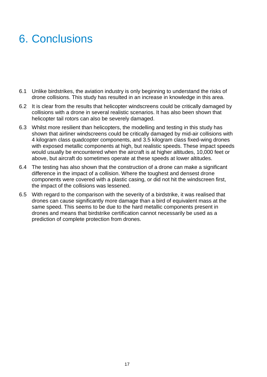## 6. Conclusions

- 6.1 Unlike birdstrikes, the aviation industry is only beginning to understand the risks of drone collisions. This study has resulted in an increase in knowledge in this area.
- 6.2 It is clear from the results that helicopter windscreens could be critically damaged by collisions with a drone in several realistic scenarios. It has also been shown that helicopter tail rotors can also be severely damaged.
- 6.3 Whilst more resilient than helicopters, the modelling and testing in this study has shown that airliner windscreens could be critically damaged by mid-air collisions with 4 kilogram class quadcopter components, and 3.5 kilogram class fixed-wing drones with exposed metallic components at high, but realistic speeds. These impact speeds would usually be encountered when the aircraft is at higher altitudes, 10,000 feet or above, but aircraft do sometimes operate at these speeds at lower altitudes.
- 6.4 The testing has also shown that the construction of a drone can make a significant difference in the impact of a collision. Where the toughest and densest drone components were covered with a plastic casing, or did not hit the windscreen first, the impact of the collisions was lessened.
- 6.5 With regard to the comparison with the severity of a birdstrike, it was realised that drones can cause significantly more damage than a bird of equivalent mass at the same speed. This seems to be due to the hard metallic components present in drones and means that birdstrike certification cannot necessarily be used as a prediction of complete protection from drones.